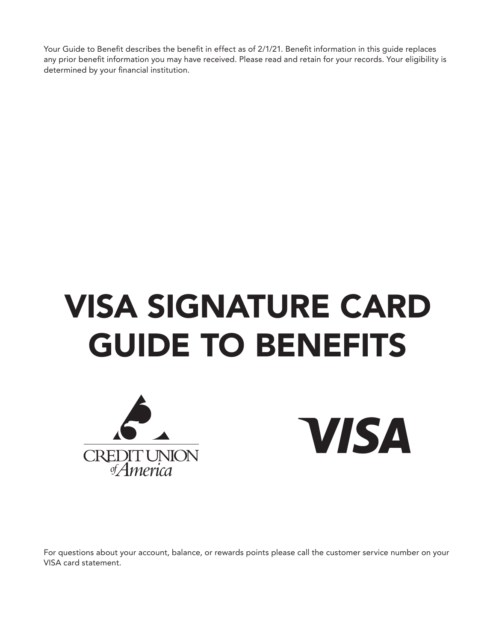Your Guide to Benefit describes the benefit in effect as of 2/1/21. Benefit information in this guide replaces any prior benefit information you may have received. Please read and retain for your records. Your eligibility is determined by your financial institution.

# VISA SIGNATURE CARD GUIDE TO BENEFITS



**VISA** 

For questions about your account, balance, or rewards points please call the customer service number on your VISA card statement.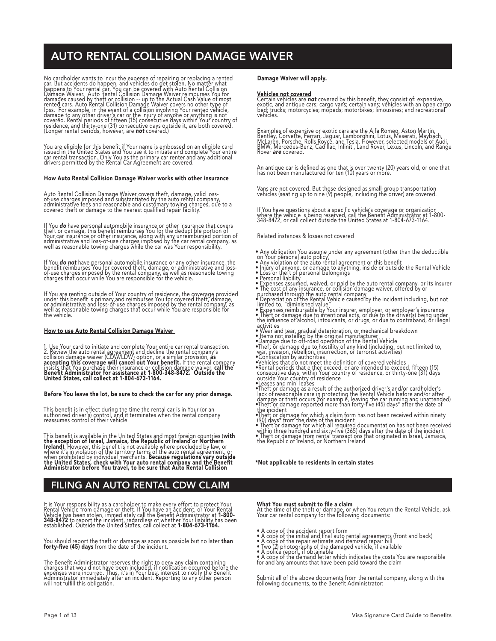## AUTO RENTAL COLLISION DAMAGE WAIVER

No cardholder wants to incour the expense of repairing or replacing a rented<br>car. But accidents do happen, and vehicles do get stolen. No malter what<br>happens to Your rential car, You can be covered with Auto Rental Collisi

You are eligible for this benefit if Your name is embossed on an eligible card<br>issued in the United States and You use it to initiate and complete Your entire<br>car rental transaction. Only You as the primary car renter and

### How Auto Rental Collision Damage Waiver works with other insurance

Auto Rental Collision Damage Waiver covers thett, damage, valid loss-<br>of-use charges imposed and substantiated by the auto rental company,<br>administrative fees and reasonable and customary towing charges, due to a<br>covered t

If You **do** have personal automobile insurance or other insurance that covers<br>theft or damage, this benefit reimburses You for the deductible portion of<br>Your car insurance or other insurance, along with any uncermbursed po

It You **do not** have personal automobile insurance or any other insurance, the<br>benefit reimburses You for covered theft, damage, or administrative and loss-<br>of-use charges imposed by the rental company, as well as reasonab

It You are renting outside of Your country of residence, the coverage provided<br>under this benefit is primary and reimburses You for covered theft, damage,<br>or administrative and loss-of-use charges imposed by the rental com the vehicle.

### How to use Auto Rental Collision Damage Waiver

1. Use Your card to initiate and complete Your entire car rental transaction.<br>2. Review the auto rental agreement and decline the rental company's<br>collision damage waiver (CDW/LDW) option, or a similar provision, as<br>accept

### Before You leave the lot, be sure to check the car for any prior damage.

This benefit is in effect during the time the rental car is in Your (or an<br>authorized driver's) control, and it terminates when the rental company<br>reassumes control of their vehicle.

This benefit is available in the United States and most foreign countries (with<br>the exception of Israel, Jamaica, the Republic of Ireland or Northern<br>Ireland). However, this benefit is not available where precluded by law, when prohibited by individual merchants. Because regulations vary outside<br>the United States, check with Your auto rental company and the Benefit<br>Administrator before You travel, to be sure that Auto Rental Collision

## FILING AN AUTO RENTAL CDW CLAIM

It is Your responsibility as a cardholder to make every effort to protect Your<br>Rental Vehicle from damage or theft. If You have an accident, or Your Rental<br>Vehicle has been stolen, immediately call the Benefit Administrato

You should report the thett or damage as soon as possible but no later **than**<br>**forty-five (45) days** from the date of the incident.

The Benetit Administrator reserves the right to deny any claim containing<br>charges that would not have been included, if notification occurred before the<br>expenses were incurred. Thus, it's in Your best interest to notify th

### Damage Waiver will apply.

**Vehicles not covered**<br>Certain vehicles are **not** covered by this benefit, they consist of: expensive,<br>exotic, and antique cars; cargo vans; certain vans; vehicles with an open cargo bed; trucks; motorcycles; mopeds; motorbikes; limousines; and recreational vehicles.

Examples of expensive or exotic cars are the Alfa Romeo, Aston Martin,<br>Bentley, Corvette, Ferrari, Jaguar, Lamborghini, Lotus, Maserati, Maybach,<br>McLaren, Porsche, Rolls Royce, and Tesla. However, selected models of Audi,<br>

An antique car is defined as one that is over twenty (20) years old, or one that has not been manufactured for ten (10) years or more.

Vans are not covered. But those designed as small-group transportation vehicles (seating up to nine (9) people, including the driver) are covered.

It You have questions about a specific vehicle's coverage or organization<br>where the vehicle is being reserved, call the Benefit Administrator at 1-800-<br>348-8472, or call collect outside the United States at 1-804-673-1164.

Related instances & losses not covered

- Any obligation You assume under any agreement (other than the deductible<br>on Your personal auto policy)<br>• Any violation of the auto rental agreement or this benefit
- 
- Injury of anyone, or damage to anything, inside or outside the Rental Vehicle Loss or theft of personal belongings
- Personal liability<br>• Expenses assumed, waived, or paid by the auto rental company, or its insurer<br>• The cost of any insurance, or collision damage waiver, offered by or<br>• Depreciation of the auto rental company<br>• Depreci
- 
- 
- 
- 
- 
- 
- 
- 
- 
- activities<br>
activities<br>
a Wear and tear, gradual deterioration, or mechanical breakdown<br>
 Items not installed by the original manufacturer<br>
 Then the Rental Mexical properation of the Rental Vehicle<br>
 Theft or damage du
- 
- 
- •Thett or damage for which a claim form has not been received within ninety<br>(20) days\* from the date of the incident<br>• Thett or damage for which all required documentation has not been received<br>• Thett or damage from renta

### \*Not applicable to residents in certain states

**What You must submit to tile a claim**<br>At the time of the theft or damage, or when You return the Rental Vehicle, ask<br>Your car rental company for the following documents:

- 
- 
- 
- 
- A copy of the accident report form<br>• A copy of the initial and final auto rental agreements (front and back)<br>• A copy of the initial and final auto rental agreements (front and back)<br>• Two (2) photographs of the damaged

Submit all of the above documents from the rental company, along with the following documents, to the Benefit Administrator: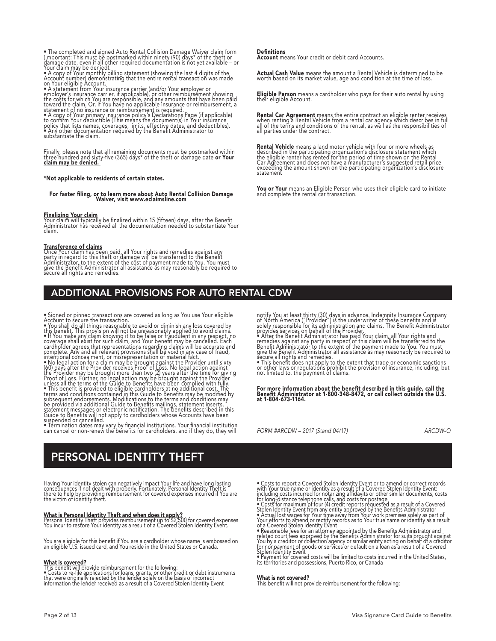• The completed and signed Auto Rental Collision Damage Waiver claim form<br>dimportant: This must be postmarked within ninety (90) days\* of the theft or<br>damage date, even if all other required documentation is not yet availa

statement of no insurance or reimbursement is required.<br>• A copy of Your primary insurance policy's Declarations Page (if applicable)<br>to conirm Your deductible (This means the document(s) in Your insurance<br>policy that list substantiate the claim.

Hinally, please note that all remaining documents must be postmarked within<br>three hundred and sixty-five (365) days\* of the theft or damage date <mark>or Your</mark><br>c**laim may be denied.** 

### \*Not applicable to residents of certain states.

## For faster filing, or to learn more about Auto Rental Collision Damage Waiver, visit www.eclaimsline.com

**Finalizing Your claim**<br>Your claim will typically be finalized within 15 (fifteen) days, after the Benefit<br>Administrator has received all the documentation needed to substantiate Your claim.

**Transference of claims**<br>Once Your claim has been paid, all Your rights and remedies against any<br>party in regard to this theft or damage will be transferred to the Benefit<br>Administrator, to the extent of the cost of paymen

### ADDITIONAL PROVISIONS FOR AUTO RENTAL CDW

• Signed or pinned transactions are covered as long as You use Your eligible<br>Account to secure the transaction.<br>• You shall do all things reasonable to avoid or diminish any loss covered by<br>this benefit. This provsion will

<u>Detinitions</u><br>Account means Your credit or debit card Accounts.

**Actual Cash Value** means the amount a Rental Vehicle is determined to be<br>worth based on its market value, age and condition at the time of loss.

**Eligible Person** means a cardholder who pays for their auto rental by using their eligible Account.

**Rental Car Agreement** means the entire contract an eligible renter receives<br>when renting a Rental Vehicle from a rental car agency which describes in full<br>all of the terms and conditions of the rental, as well as the resp

**Rental Vehicle** means a land motor vehicle with four or more wheels as<br>described in the participating organization's disclosure statement which<br>the eligible renter has rented for the period of time shown on the Rental<br>Car

You or Your means an Eligible Person who uses their eligible card to initiate and complete the rental car transaction.

notity You at least thirty (30) days in advance. Indemnity Insurance Company<br>of North America ("Provider") is the underwriter of these benefits and is<br>solely responsible for its administration and claims. The Benefit Admin

For more information about the benefit described in this guide, call the Benefit Administrator at 1-800-348-8472, or call collect outside the U.S. at 1-804-673-1164.

*FORM #ARCDW – 2017 (Stand 04/17) ARCDW-O*

## PERSONAL IDENTITY THEFT

Having Your identity stolen can negatively impact Your life and have long lasting<br>consequences if not dealt with properly. Fortunately, Personal Identity Theft is<br>there to help by providing reimbursement for covered expens

**What is Personal Identity Theft and when does it apply?**<br>Personal Identity Theft provides reimbursement up to \$2,500 for covered expenses<br>You incur to restore Your identity as a result of a Covered Stolen Identity Event.

You are eligible for this benefit if You are a cardholder whose name is embossed on an eligible U.S. issued card, and You reside in the United States or Canada.

**What is covered?**<br>This benefit will provide reimbursement for the following:<br>• Costs to re-file applications for loans, grants, or other credit or debt instruments<br>that were originally rejected by the lender solely on the

• Costs to report a Covered Stolen Identity Lyent or to amend or correct records<br>with Your true name or identity as a result of a Covered Stolen Identity Event:<br>including costs incurred for notarizing affidavits or other s

**What is not covered?**<br>This benefit will not provide reimbursement for the following: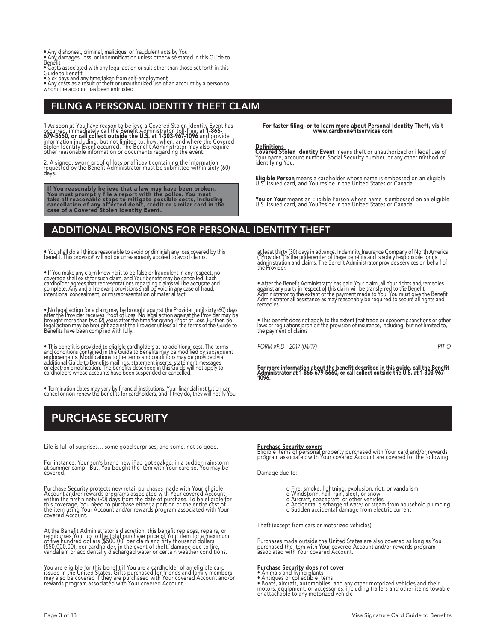- 
- Any dishonest, criminal, malicious, or fraudulent acts by You Any damages, loss, or indemnification unless otherwise stated in this Guide to
- Benefit Costs associated with any legal action or suit other than those set forth in this Guide to Benefit

• Sick days and any time taken from self-employment • Any costs as a result of theft or unauthorized use of an account by a person to whom the account has been entrusted

## FILING A PERSONAL IDENTITY THEFT CLAIM

1 As soon as You have reason to believe a Covered Stolen Identity Event has<br>occurred, immediately call the Benefit Administrator, toll-free, at 1-866-<br>679-5660, or call collect outside the U.S. at 1-303-967-1096 and provid

2. A signed, sworn proof of loss or affidavit containing the information requested by the Benefit Administrator must be submitted within sixty (60) days.

lf You reasonably believe that a law may have been broken,<br>You must promptly file a report with the police. You must<br>take all reasonable steps to mitigate possible costs, including<br>cancellation of any affected debit, credi

For faster filing, or to learn more about Personal Identity Theft, visit www.cardbenefitservices.com

<u>Definitions</u><br>Covered Stolen Identity Event means theft or unauthorized or illegal use of<br>Your name, account number, Social Security number, or any other method of<br>identifying You.

Eligible Person means a cardholder whose name is embossed on an eligible U.S. issued card, and You reside in the United States or Canada.

You or Your means an Eligible Person whose name is embossed on an eligible<br>U.S. issued card, and You reside in the United States or Canada.

## ADDITIONAL PROVISIONS FOR PERSONAL IDENTITY THEFT

• You shall do all things reasonable to avoid or diminish any loss covered by this benefit. This provision will not be unreasonably applied to avoid claims.

• It You make any claim knowing it to be false or fraudulent in any respect, no<br>coverage shall exist for such claim, and Your benefit may be cancelled. Each<br>cardholder agrees that representations regarding claims will be a intentional concealment, or misrepresentation of material fact.

• No legal action for a claim may be brought against the Provider until sixty (60) days<br>after the Provider receives Proof of Loss. No legal action against the Provider may be<br>brought more than two (2) years after the time

• This benefit is provided to eligible cardholders at no additional cost. The terms<br>and conditions contained in this Guide to Benefits may be modified by subsequent<br>endorsements. Modifications to the terms and conditions m

• Termination dates may vary by financial institutions. Your financial institution can cancel or non-renew the benefits for cardholders, and if they do, they will notify You

at least thirty (30) days in advance. Indemnity Insurance Company of North America<br>("Provider") is the underwriter of these benefits and is solely responsible for its<br>administration and claims. The Benefit Administrator pr the Provider.

• Atter the Benetit Administrator has paid Your claim, all Your rights and remedies<br>against any party in respect of this claim will be transferred to the Benefit<br>Administrator to the extent of the payment made to You. You remedies.

• This benefit does not apply to the extent that trade or economic sanctions or other laws or regulations prohibit the provision of insurance, including, but not limited to, the payment of claims

*FORM #PID – 2017 (04/17) PIT-O*

For more information about the benefit described in this guide, call the Benefit Administrator at 1-866-679-5660, or call collect outside the U.S. at 1-303-967- 1096.

## PURCHASE SECURITY

Life is full of surprises… some good surprises; and some, not so good.

For instance, Your son's brand new iPad got soaked, in a sudden rainstorm at summer camp. But, You bought the item with Your card so, You may be covered.

Purchase Security protects new retail purchases made with Your eligible<br>Account and/or rewards programs associated with Your covered Account<br>within the first ninety (90) days from the date of purchase. To be eligible for<br>t

At the Benetit Administrator's discretion, this benetit replaces, repairs, or<br>reimburses You, up to the total purchase price of Your item for a maximum<br>of five hundred dollars (\$500.00) per claim and fifty thousand dollars

You are eligible for this benefit if You are a cardholder of an eligible card<br>issued in the United States. Gifts purchased for friends and family members<br>may also be covered if they are purchased with Your covered Account

Purchase Security covers<br>Eligible items of personal property purchased with Your card and/or rewards<br>program associated with Your covered Account are covered for the following:

Damage due to:

- 
- 
- o Fire, smoke, lightning, explosion, riot, or vandalism<br>o Windstorm, hail, rain, sleet, or snow<br>o Aircraft, spacecraft, or other vehicles<br>o Accidental discharge of water or steam from household plumbing<br>o Sudden accidental
- 

Theft (except from cars or motorized vehicles)

Purchases made outside the United States are also covered as long as You purchased the item with Your covered Account and/or rewards program associated with Your covered Account.

### Purchase Security does not cover

• Animals and living plants<br>• Antiques or collectible items<br>• Boats, aircraft, automobiles, and any other motorized vehicles and their<br>motors, equipment, or accessories, including trailers and other items towable<br>or attach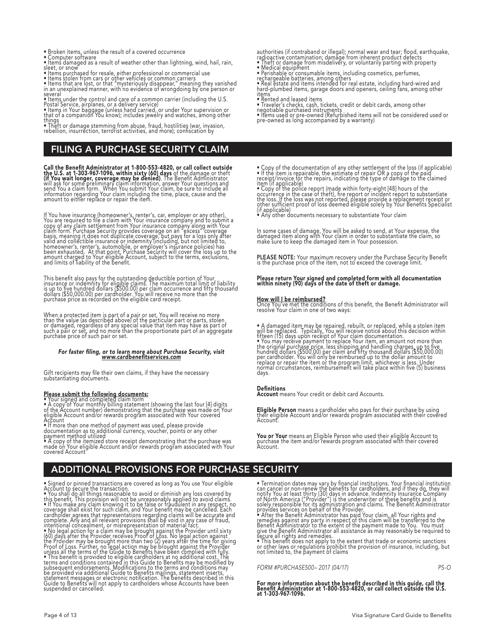- Broken items, unless the result of a covered occurrence Computer software
- 
- Items damaged as a result of weather other than lightning, wind, hail, rain, sleet, or snow
- 
- 
- Items purchased for resale, either professional or commercial use<br>• Items stolen from cars or other vehicles or common carriers<br>• Items that are lost, or that "mysteriously disappear," meaning they vanished<br>in an unexpla

several<br>• Items under the control and care of a common carrier (including the U.S.<br>Postal Service, airplanes, or a delivery service)<br>• Items in Your baggage (unless hand carried, or under Your supervision or<br>• Items in You

things • Theft or damage stemming from abuse, fraud, hostilities (war, invasion, rebellion, insurrection, terrorist activities, and more); confiscation by

## FILING A PURCHASE SECURITY CLAIM

Call the Benefit Administrator at 1-800-553-4820, or call collect outside<br>the U.S. at 1-303-967-1096, within sixty (60) days of the damage or thet<br>(if You wait longer, coverage may be denied). The Benefit Administrator<br>wil

If You have insurance (homeowner's, renter's, car, employer or any other), You are required to file a claim with Your insurance company and to submit a copy of any claim settlement from Your insurance company along with Yo

This benefit also pays for the outstanding deductible portion of Your<br>insurance or indemnity for eligible claims. The maximum total limit of liability<br>is up to five hundred dollars (\$500.00) per claim occurrence and fifty

When a protected item is part of a pair or set, You will receive no more<br>than the value (as described above) of the particular part or parts, stolen<br>or damaged, regardless of any special value that item may have as part of

## For faster filing, or to learn more about Purchase Security, visit<br><u>www.cardbenefitservices.com</u>

Gift recipients may file their own claims, if they have the necessary substantiating documents.

**Please submit the following documents:**<br>• Your signed and completed claim form<br>• A copy of Your monthly billing statement (showing the last four [4] digits<br>of the Account number) demonstrating that the purchase was made o

Account<br>• If more than one method of payment was used, please provide<br>documentation as to additional currency, voucher, points or any other<br>payment method utilized<br>• A copy of the itemized store receipt demonstrating that

authorities (if contraband or illegal); normal wear and tear; flood, earthquake, radioactive contamination; damage from inherent product defects

• Thett or damage from misdelivery, or voluntarily parting with property<br>• Medical equipment<br>• Perishable or consumable items, including cosmetics, perfumes,<br>• Real estate and items intended for real estate, including hard

items<br>• <u>R</u>ented and leased items

• Iraveler's checks, cash, tickets, credit or debit cards, among other<br>negotiable purchased instruments<br>• Items used or pre-owned (Refurbished items will not be considered used or<br>pre-owned as long accompanied by a warrant

• Copy of the documentation of any other settlement of the loss (it applicable)<br>• If the item is repairable, the estimate of repair OR a copy of the paid<br>receipt/invoice for the repairs, indicating the type of damage to th

• Any other documents necessary to substantiate Your claim

In some cases of damage, You will be asked to send, at Your expense, the<br>damaged item along with Your claim in order to substantiate the claim, so<br>make sure to keep the damaged item in Your possession.

PLEASE NOTE: Your maximum recovery under the Purchase Security Benefit is the purchase price of the item, not to exceed the coverage limit.

## Please return Your signed and completed form with all documentation within ninety (90) days of the date of theft or damage.

How will I be reimbursed?<br>Once You've met the conditions of this benefit, the Benefit Administrator will<br>resolve Your claim in one of two ways:

• A damaged item may be repaired, rebuilt, or replaced, while a stolen item<br>will be replaced. Typically, You will receive notice about this decision within<br>fifteen (15) days upon receipt of Your claim documentation.<br>• You days.

### Definitions

Account means Your credit or debit card Accounts.

**Eligible Person** means a cardholder who pays for their purchase by using<br>their eligible Account and/or rewards program associated with their covered<br>Account.

**You or Your** means an Eligible Person who used their eligible Account to<br>purchase the item and/or rewards program associated with their covered<br>Account.

## ADDITIONAL PROVISIONS FOR PURCHASE SECURITY

• No lead or pinned transactions are covered as long as You use Your eligible<br>• Scount to secure the transaction.<br>• You shall do all things reasonable to avoid or diminish any loss covered by<br>this benefit. This provision w

• lermination dates may vary by thrancial institutions. Your financial institution<br>can cancel or non-renew the benefits for cardholders, and if they do, they will<br>notify You at least thirty (30) days in advance. Indemnity

*FORM #PURCHASE500– 2017 (04/17) PS-O*

For more information about the benefit described in this guide, call the Benefit Administrator at 1-800-553-4820, or call collect outside the U.S. at 1-303-967-1096.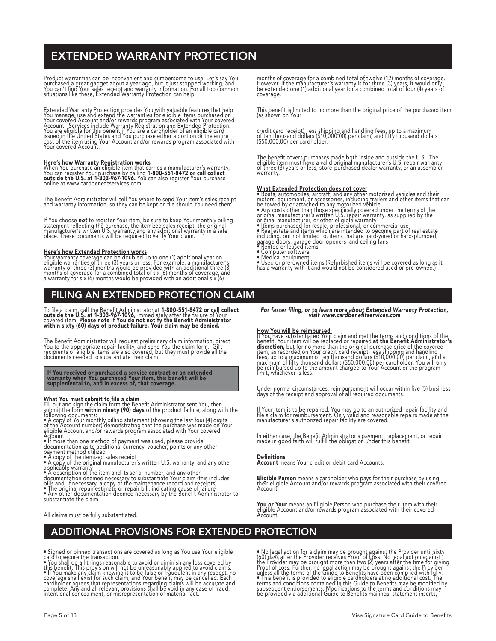## EXTENDED WARRANTY PROTECTION

Product warranties can be inconvenient and cumbersome to use. Let's say You<br>purchased a great gadget about a year ago, but it just stopped working, and<br>You can't find Your sales receipt and warranty information. For all to

Externded Warranty Protection provides You with valuable features that help<br>You manage, use and externd the warranties for eligible items purchased on<br>You rovered Account and/or rewards program associated with Your covered

<u>Here's how Warranty Registration works</u><br>When You purchase an eligible item that carries a manufacturer's warranty,<br>You can register Your purchase by calling 1-800-551-8472 or call collect<br>outside the U.S. at 1-303-967-109

The Benefit Administrator will tell You where to send Your item's sales receipt<br>and warranty information, so they can be kept on file should You need them.

If You choose **not** to register Your item, be sure to keep Your monthly billing<br>statement reflecting the purchase, the itemized sales receipt, the original<br>manufacturer's written U.S. warranty and any additional warranty i

Here's how Extended Protection works<br>Your warranty coverage can be doubled up to one (1) additional year on<br>eligible warranties of three (3) years or less. For example, a manufacturer's<br>warranty of three (3) months would b

## FILING AN EXTENDED PROTECTION CLAIM

lo file a claim, call the Benefit Administrator at 1-800-551-8472 or call collect<br>outside the U.S. at 1-303-967-1096, immediately after the failure of Your<br>covered item. Please note if You do not notify the Benefit Adminis

The Benetit Administrator will request preliminary claim information, direct<br>You to the appropriate repair facility, and send You the claim form. Gift<br>recipients of eligible items are also covered, but they must provide al

## It You received or purchased a service contract or an extended<br>warranty when You purchased Your item, this benefit will be<br>supplemental to, and in excess of, that coverage.

What You must submit to tile a claim<br>Fill out and sign the claim form the Benefit Administrator sent You, then<br>submit the form within ninety (90) days of the product failure, along with the<br>following documents:<br>• A copy of

Account<br>
• If more than one method of payment was used, please provide<br>
• If more than one method of payment was used, please provide<br>
• A copy of the itemized sales receipt<br>
• A copy of the itemized sales receipt<br>
• A cop

substantiate the claim

All claims must be fully substantiated.

months of coverage for a combined total of twelve (12) months of coverage.<br>However, if the manufacturer's warranty is for three (3) years, it would only<br>be extended one (1) additional year for a combined total of four (4) coverage.

This benefit is limited to no more than the original price of the purchased item<br>(as shown on Your

credit card receipt), less shipping and handling fees, up to a maximum<br>of ten thousand dollars (\$10,000.00) per claim, and fifty thousand dollars<br>(\$50,000.00) per cardholder.

The benefit covers purchases made both inside and outside the U.S. The<br>eligible item must have a valid original manufacturer's U.S. repair warranty<br>of three (3) years or less, store-purchased dealer warranty, or an assembl warranty.

What Extended Protection does not cover<br>
• Boats, automobiles, aircraft, and any other motorized vehicles and their<br>
• Boats, automobiles, aircraft, and any other motorized vehicles and their<br>
hotors, equipment, or accesso

- 
- 
- 
- 
- 
- 
- 
- 
- 

## For faster filing, or to learn more about Extended Warranty Protection,<br>visit www.cardbenefitservices.com

**How You will be reimbursed.**<br>If You have substantiated Your claim and met the terms and conditions of the<br>from hencit, Your item will be replaced or repaired **at the Benefit Administrator's**<br>discretion, but for no more th

Under normal circumstances, reimbursement will occur within five (5) business days of the receipt and approval of all required documents.

It Your item is to be repaired, You may go to an authorized repair facility and<br>file a claim for reimbursement. Only valid and reasonable repairs made at the<br>manufacturer's authorized repair facility are covered.

In either case, the Benefit Administrator's payment, replacement, or repair made in good faith will fulfill the obligation under this benefit.

<u>Detinitions</u><br>Account means Your credit or debit card Accounts.

**Eligible Person** means a cardholder who pays for their purchase by using<br>their eligible Account and/or rewards program associated with their covered<br>Account.

**You or Your** means an Eligible Person who purchase their item with their<br>eligible Account and/or rewards program associated with their covered<br>Account.

## ADDITIONAL PROVISIONS FOR EXTENDED PROTECTION

• Signed or pinned transactions are covered as long as You use Your eligible<br>card to secure the transaction.<br>• You shall do all things reasonable to avoid or diminish any loss covered by<br>this benefit. This provision will n

• No legal action for a claim may be brought against the Provider until sixty<br>(60) days after the Provider receives Proof of Loss. No legal action against<br>the Provider may be brought more than two (2) years after the time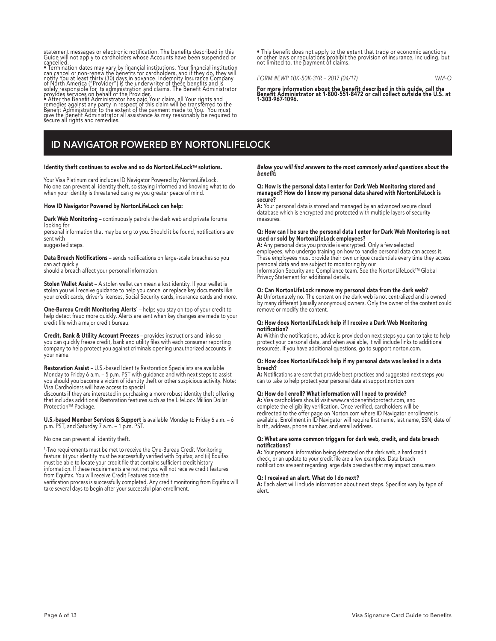statement messages or electronic notification. The benefits described in this<br>Guide will not apply to cardholders whose Accounts have been suspended or

Guide will not apply to cardholders whose Accounts have been suspended or<br>cancelled.<br>• Termination dates may vary by financial institutions. Your financial institution<br>can cancel or non-renew the benefits for cardholders,

## ID NAVIGATOR POWERED BY NORTONLIFELOCK

### Identity theft continues to evolve and so do NortonLifeLock™ solutions.

Your Visa Platinum card includes ID Navigator Powered by NortonLifeLock. No one can prevent all identity theft, so staying informed and knowing what to do when your identity is threatened can give you greater peace of mind.

### How ID Navigator Powered by NortonLifeLock can help:

Dark Web Monitoring – continuously patrols the dark web and private forums looking for

personal information that may belong to you. Should it be found, notifications are sent with

suggested steps.

Data Breach Notifications - sends notifications on large-scale breaches so you can act quickly

should a breach affect your personal information.

Stolen Wallet Assist - A stolen wallet can mean a lost identity. If your wallet is stolen you will receive guidance to help you cancel or replace key documents like your credit cards, driver's licenses, Social Security cards, insurance cards and more.

One-Bureau Credit Monitoring Alerts<sup>1</sup> – helps you stay on top of your credit to help detect fraud more quickly. Alerts are sent when key changes are made to your credit file with a major credit bureau.

Credit, Bank & Utility Account Freezes – provides instructions and links so you can quickly freeze credit, bank and utility files with each consumer reporting company to help protect you against criminals opening unauthorized accounts in your name.

**Restoration Assist** – U.S.-based Identity Restoration Specialists are available<br>Monday to Friday 6 a.m. – 5 p.m. PST with guidance and with next steps to assist you should you become a victim of identity theft or other suspicious activity. Note: Visa Cardholders will have access to special

discounts if they are interested in purchasing a more robust identity theft offering that includes additional Restoration features such as the LifeLock Million Dollar Protection™ Package.

U.S.-based Member Services & Support is available Monday to Friday 6 a.m. - 6 p.m. PST, and Saturday 7 a.m. – 1 p.m. PST.

### No one can prevent all identity theft.

<sup>1</sup>-Two requirements must be met to receive the One-Bureau Credit Monitoring feature: (i) your identity must be successfully verified with Equifax; and (ii) Equifax must be able to locate your credit file that contains sufficient credit history information. If these requirements are not met you will not receive credit features from Equifax. You will receive Credit Features once the

verification process is successfully completed. Any credit monitoring from Equifax will take several days to begin after your successful plan enrollment.

• This benefit does not apply to the extent that trade or economic sanctions or other laws or regulations prohibit the provision of insurance, including, but not limited to, the payment of claims.

*FORM #EWP 10K-50K-3YR – 2017 (04/17) WM-O*

For more information about the benefit described in this guide, call the Benefit Administrator at 1-800-551-8472 or call collect outside the U.S. at 1-303-967-1096.

Below you will find answers to the most commonly asked questions about the benefit:

### Q: How is the personal data I enter for Dark Web Monitoring stored and managed? How do I know my personal data shared with NortonLifeLock is secure?

A: Your personal data is stored and managed by an advanced secure cloud database which is encrypted and protected with multiple layers of security measures.

### Q: How can I be sure the personal data I enter for Dark Web Monitoring is not used or sold by NortonLifeLock employees?

A: Any personal data you provide is encrypted. Only a few selected employees, who undergo training on how to handle personal data can access it. These employees must provide their own unique credentials every time they access personal data and are subject to monitoring by our Information Security and Compliance team. See the NortonLifeLock™ Global Privacy Statement for additional details.

### Q: Can NortonLifeLock remove my personal data from the dark web?

A: Unfortunately no. The content on the dark web is not centralized and is owned by many different (usually anonymous) owners. Only the owner of the content could remove or modify the content.

### Q: How does NortonLifeLock help if I receive a Dark Web Monitoring notification?

A: Within the notifications, advice is provided on next steps you can to take to help protect your personal data, and when available, it will include links to additional resources. If you have additional questions, go to support.norton.com.

### Q: How does NortonLifeLock help if my personal data was leaked in a data breach?

A: Notifications are sent that provide best practices and suggested next steps you can to take to help protect your personal data at support.norton.com

### Q: How do I enroll? What information will I need to provide?

A: Visa cardholders should visit www.cardbenefitidprotect.com, and complete the eligibility verification. Once verified, cardholders will be redirected to the offer page on Norton.com where ID Navigator enrollment is available. Enrollment in ID Navigator will require first name, last name, SSN, date of birth, address, phone number, and email address.

### Q: What are some common triggers for dark web, credit, and data breach notifications?

A: Your personal information being detected on the dark web, a hard credit check, or an update to your credit file are a few examples. Data breach notifications are sent regarding large data breaches that may impact consumers

### Q: I received an alert. What do I do next?

A: Each alert will include information about next steps. Specifics vary by type of alert.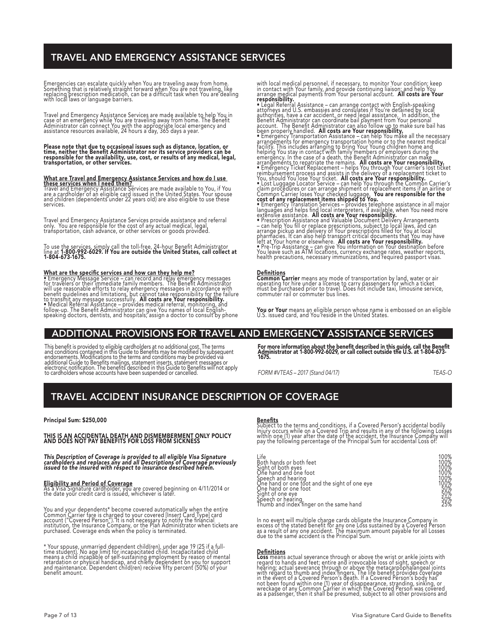## TRAVEL AND EMERGENCY ASSISTANCE SERVICES

Emergencies can escalate quickly when You are traveling away from home.<br>Something that is relatively straight forward when You are not traveling, like<br>replacing prescription medication, can be a difficult task when You are

Travel and Emergency Assistance Services are made available to help You in<br>case of an emergency while You are traveling away from home. The Benefit<br>Administrator can connect You with the appropriate local emergency and<br>Ass

Please note that due to occasional issues such as distance, location, or<br>time, neither the Benefit Administrator nor its service providers can be<br>responsible for the availability, use, cost, or results of any medical, lega

What are Travel and Emergency Assistance Services and how do I use<br>these services when I need them?<br>Travel and Emergency Assistance Services are made available to You, if You<br>are a cardholder of an eligible card issued in services.

Travel and Emergency Assistance Services provide assistance and referral<br>only. You are responsible for the cost of any actual medical, legal,<br>transportation, cash advance, or other services or goods provided.

To use the services, simply call the toll-free, 24-hour Benefit Administrator<br>line at 1-800-992-6029. If You are outside the United States, call collect at<br>1-804-673-1675.

**What are the specific services and how can they help me?**<br>• Emergency Message Service – can record and relay emergency messages<br>for travelers or their immediate family members. The Benefit Administrator<br>will use reasonabl

with local medical personnel, it necessary, to monitor Your condition; keep<br>in contact with Your family, and provide continuing liaison; and help You<br>responsibility, and provide continuing liaison; and help You<br>responsibil

**Detinitions**<br>Common Carrier means any mode of transportation by land, water or air<br>operating for hire under a license to carry passengers for which a ticket<br>must be purchased prior to travel. Does not include taxi, limous

You or Your means an eligible person whose name is embossed on an eligible U.S. issued card, and You reside in the United States.

## ADDITIONAL PROVISIONS FOR TRAVEL AND EMERGENCY ASSISTANCE SERVICES

This benefit is provided to eligible cardholders at no additional cost. The terms<br>and conditions contained in this Guide to Benefits may be modified by subsequent<br>endorsements. Modifications to the terms and conditions may to cardholders whose accounts have been suspended or cancelled.

For more information about the benefit described in this guide, call the Benefit Administrator at 1-800-992-6029, or call collect outside the U.S. at 1-804-673- 1675.

*FORM #VTEAS – 2017 (Stand 04/17) TEAS-O*

## TRAVEL ACCIDENT INSURANCE DESCRIPTION OF COVERAGE

Principal Sum: \$250,000

## THIS IS AN ACCIDENTAL DEATH AND DISMEMBERMENT ONLY POLICY AND DOES NOT PAY BENEFITS FOR LOSS FROM SICKNESS

This Description of Coverage is provided to all eligible Visa Signature<br>cardholders and replaces any and all Descriptions of Coverage previously<br>issued to the insured with respect to insurance described herein.

**Eligibility and Period of Coverage**<br>As a Visa Signature cardholder, you are covered beginning on 4/11/2014 or<br>the date your credit card is issued, whichever is later.

You and your dependents\* become covered automatically when the entire<br>Common Carrier fare is charged to your covered [Insert Card Type] card<br>account ("Covered Person"). It is not necessary to notify the financial<br>instituti

\* Your spouse, unmarried dependent child(ren), under age 19 (25 it a tull-<br>time student). No age limit for incapacitated child. Incapacitated child<br>means a child incapable of self-sustaining employment by reason of mental<br>

### <u>Benefits</u>

Subject to the terms and conditions, if a Covered Person's accidental bodily<br>Injury occurs while on a Covered Trip and results in any of the following Losses<br>within one (1) year after the date of the accident, the Insuranc

| Life                                                                                                                                                                           | 100%       |
|--------------------------------------------------------------------------------------------------------------------------------------------------------------------------------|------------|
| Eioth hands or both feet<br>Sight of both eyes<br>One hand and one foot                                                                                                        | 100%       |
|                                                                                                                                                                                |            |
|                                                                                                                                                                                | )0%        |
| Sheech and hearing<br>Speech and hearing<br>One hand or one foot and the sight of one eye<br>Speech or one eye<br>Speech or hearing<br>Thumb and index finger on the same hand | 100%       |
|                                                                                                                                                                                |            |
|                                                                                                                                                                                | 0%         |
|                                                                                                                                                                                | 50%        |
|                                                                                                                                                                                | 50%<br>25% |
|                                                                                                                                                                                |            |

In no event will multiple charge cards obligate the Insurance Company in<br>excess of the stated benefit for any one Loss sustained by a Coyered Person<br>as a result of any one accident. The maximum amount payable for all Losse

**Definitions**<br>**Considents and the second to the second to the set of ankle joints with**<br>**Loss** means actual severance through or above the metacarpophalangeal joints<br>hearing; actual severance through or above the metacarpo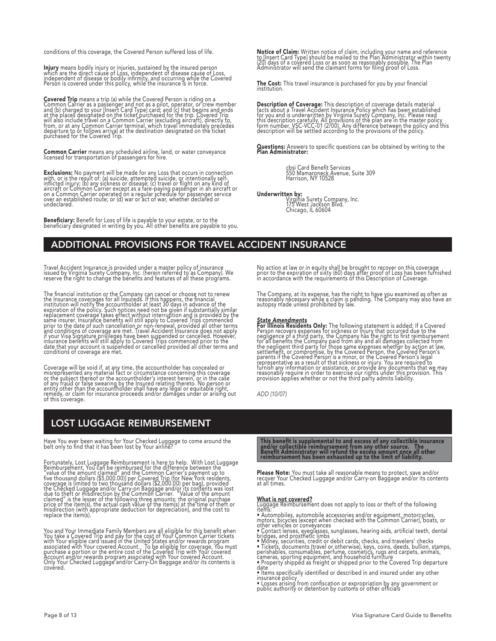conditions of this coverage, the Covered Person suffered loss of life.

**Injury** means bodily injury or injuries, sustained by the insured person<br>which are the direct cause of Loss, independent of disease cause of Loss,<br>independent of disease or bodily infirmity, and occurring while the Covere

**Covered Trip** means a trip (a) while the Covered Person is riding on a<br>Common Carrier as a passenger and not as a pilot, operator, or crew member<br>and (b) charged to your linsert Card Type] card; and (c) that begins and en

Common Carrier means any scheduled airline, land, or water conveyance licensed for transportation of passengers for hire.

**Exclusions:** No payment will be made for any Loss that occurs in connection<br>with, or is the result of: (a) suicide, attempted suicide, or intentionally self-<br>inflicted injury; (b) any sickness or disease; (c) travel or fl undeclared.

Beneficiary: Benefit for Loss of life is payable to your estate, or to the beneficiary designated in writing by you. All other benefits are payable to you.

**Notice of Claim:** Written notice of claim, including your name and reference<br>to [Insert Card Type] should be mailed to the Plan Administrator within twenty<br>(20) days of a covered Loss or as soon as reasonably possible. Th

The Cost: This travel insurance is purchased for you by your financial institution.

**Description of Coverage:** This description of coverage details material<br>facts about a Travel Accident Insurance Policy which has been established<br>for you and is underwritten by Virginia Surety Company, Inc. Please read<br>th

Questions: Answers to specific questions can be obtained by writing to the<br>**Plan Administrator:** 

cbsi Card Benefit Services 550 Mamaroneck Avenue, Suite 309 Harrison, NY 10528

**Underwritten by:**<br>Virginia Surety Company, Inc.<br>175 West Jackson Blvd.<br>Chicago, IL 60604

## ADDITIONAL PROVISIONS FOR TRAVEL ACCIDENT INSURANCE

Travel Accident Insurance is provided under a master policy of insurance<br>issued by Virginia Surety Company, Inc. (herein referred to as Company). We<br>reserve the right to change the benefits and features of all these progra

The financial institution or the Company can cancel or choose not to renew<br>the linsurance coverages for all insureds. If this happens, the financial<br>institution will notify the accountholder at least 30 days in advance of

Coverage will be void it, at any time, the accountholder has concealed or<br>mistepresented any material fact or circumstance concerning this coverage<br>or the subject thereof or the accountholder's interest herein, or in the c

## LOST LUGGAGE REIMBURSEMENT

Have You ever been waiting for Your Checked Luggage to come around the belt only to find that it has been lost by Your airline?

Fortunately, Lost Luggage Reimbursement is here to help. With Lost Luggage<br>Fertunately, Lost Luggage Reimbursement is here to help. With Lost Luggage<br>"value of the amount claimed" and the Common Carrier's payment up to<br>"we

You and Your Immediate Family Members are all eligible for this benefit when<br>You take a Covered Trip and pay for the cost of Your Common Carrier tickets<br>with Your eligible card issued in the United States and/or rewards pr covered.

No action at law or in equity shall be brought to recover on this coverage<br>prior to the expiration of sixty (60) days after proof of Loss has been furnished<br>in accordance with the requirements of this Description of Covera

The Company, at its expense, has the right to have you examined as often as<br>reasonably necessary while a claim is pending. The Company may also have an<br>autopsy made unless prohibited by law.

**State Amendments Only:** The following statement is added: If a Covered For Illinois Residents Only: The following statement is added: If a Covered Person recovers expenses for sickness or injury that occurred due to the n

*ADD (10/07)*

This benefit is supplemental to and excess of any collectible insurance<br>and/or collectible reimbursement from any other source. The<br>Benefit Administrator will refund the excess amount once all other<br>reimbursement has been

**Please Note:** You must take all reasonable means to protect, save and/or<br>recover Your Checked Luggage and/or Carry-on Baggage and/or its contents<br>at all times.

**What is not covered?**<br>Luggage Reimbursement does not apply to loss or theft of the following

items:<br>
• Automobiles, automobile accessories and/or equipment, motorcycles,<br>
• Mutomobiles, automobile accessories and/or equipment, motorcycles, or<br>
other vehicles or conveyances<br>
• Contact lenses, eyeglasses, sunglasses

date • Items specifically identified or described in and insured under any other

insurance policy • Losses arising from confiscation or expropriation by any government or public authority or detention by customs or other officials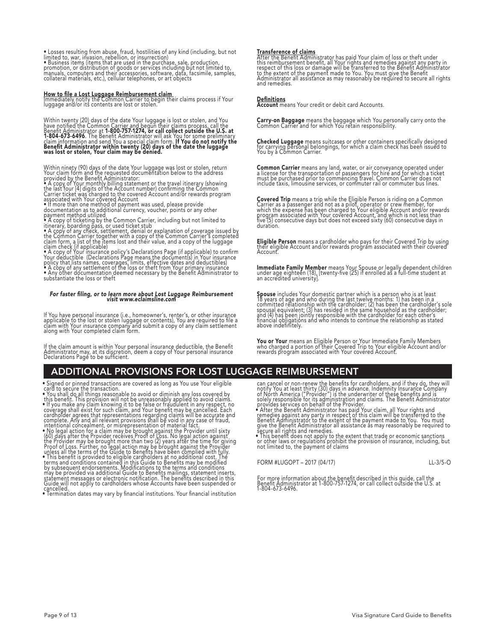• Losses resulting from abuse, fraud, hostilities of any kind (including, but not<br>limited to, war, invasion, rebellion, or insurrection)<br>• Business items (items that are used in the purchase, sale, production,<br>promotion, o

**How to file a Lost Luggage Reimbursement claim**<br>Immediately notify the Common Carrier to begin their claims process if Your<br>luggage and/or its contents are lost or stolen.

Within twenty (20) days of the date Your luggage is lost or stolen, and You<br>have notified the Common Carrier and begun their claims process, call the<br>Benefit Administrator at **1-800-757-1274, or call collect outside the U.** 

Wuthin ninety (90) days of the date Your luggage was lost or stolen, return<br>Your claim form and the requested documentation below to the address<br>provided by the Benefit Administrator:<br>• A copy of Your monthly billing state

## For faster filing, or to learn more about Lost Luggage Reimbursement visit www.eclaimsline.com

It You have personal insurance (i.e., homeowner's, renter's, or other insurance<br>applicable to the lost or stolen luggage or contents), You are required to file a<br>claim with Your insurance company and submit a copy of any c

It the claim amount is within Your personal insurance deductible, the Benefit<br>Administrator may, at its discretion, deem a copy of Your personal insurance<br>Declarations Page to be sufficient.

## ADDITIONAL PROVISIONS FOR LOST LUGGAGE REIMBURSEMENT

• Signed or pinned transactions are covered as long as You use Your eligible<br>• You shall do all things reasonable to avoid or diminish any loss covered by<br>• You shall do all things reasonable to avoid or diminish any loss

• Termination dates may vary by financial institutions. Your financial institution

**Iransference of claims**<br>After the Benefit Administrator has paid Your claim of loss or theft under<br>this reimbursement benefit, all Your rights and remedies against any party in<br>tespect of this loss or damage will be trans

<u>Detinitions</u><br>Account means Your credit or debit card Accounts.

Carry-on Baggage means the baggage which You personally carry onto the Common Carrier and for which You retain responsibility.

**Checked Luggage** means suitcases or other containers specifically designed<br>for carrying personal belongings, for which a claim check has been issued to<br>You by a Common Carrier.

**Common Carrier** means any land, water, or air conveyance operated under<br>a license for the transportation of passengers for hire and for which a ticket<br>must be purchased prior to commencing travel. Common Carrier does not<br>

**Covered Trip** means a trip while the Eligible Person is riding on a Common<br>Carrier as a passenger and not as a pilot, operator or crew member, for<br>which the expense has been charged to Your eligible Account and/or rewards duration.

**Eligible Person** means a cardholder who pays for their Covered Trip by using<br>their eligible Account and/or rewards program associated with their covered<br>Account.

**Immediate Family Member** means Your Spouse or legally dependent children<br>under age eighteen (18), [twenty-five (25) if enrolled as a full-time student at<br>an accredited university].

**Spouse** includes Your domestic partner which is a person who is at least<br>18 years of age and who during the last twelve months: 1) has been in a<br>committed relationship with the cardholder; (2) has been the cardholder's so

**You or Your** means an Eligible Person or Your Immediate Family Members<br>who charged a portion of their Covered Trip to Your eligible Account and/or<br>rewards program associated with Your covered Account.

can cancel or non-renew the benefits for cardholders, and if they do, they will<br>notify You at least thirty (30) days in advance. Indemnity Insurance Company<br>of North America ("Provider") is the underwriter of these benefit

FORM #LUGOPT – 2017 (04/17) LL-3/5-O

For more information about the benefit described in this guide, call the Benefit Administrator at 1-800-757-1274, or call collect outside the U.S. at 1-804-673-6496.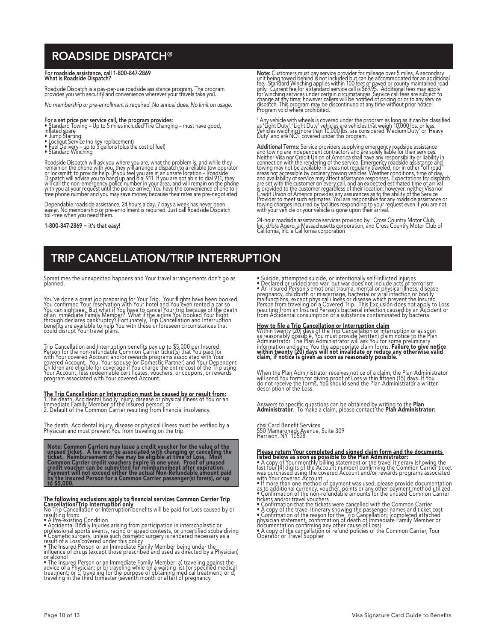## ROADSIDE DISPATCH®

## For roadside assistance, call 1-800-847-2869 What is Roadside Dispatch?

Roadside Dispatch is a pay-per-use roadside assistance program. The program<br>provides you with security and convenience wherever your travels take you.

*No membership or pre-enrollment is required. No annual dues. No limit on usage.*

- F**or a set price per service call, the program provides:**<br>• Standard Towing Up to 5 miles included'Tire Changing must have good,<br>inflated <u>s</u>pare
- Jump Starting
- 
- Lockout Service (no key replacement) Fuel Delivery up to 5 gallons (plus the cost of fuel) Standard Winching
- 

Roadside Dispatch will ask you where you are, what the problem is, and while they<br>remain on the phone with you, they will arrange a dispatch to a reliable tow operator<br>or locksmith to provide help. (If you feel you are in

Dependable roadside assistance, 24 hours a day, 7 days a week has never been easier. No membership or pre-enrollment is required. Just call Roadside Dispatch toll-free when you need them.

1-800-847-2869 ~ it's that easy!

Note: Customers must pay service provider for mileage over 5 miles, A secondary<br>unit being towed behind is not included but can be accommodated for an additional<br>fee. Standard Winching applies within 100 feet of paved or c

' Any vehicle with wheels is covered under the program as long as it can be classified<br>as 'Light Duty'. 'Light Duty' vehicles are vehicles that weigh 10,000 lbs. or less.<br>Vehicles weighing more than 10,000 lbs. are conside

**Additional Terms:** Service providers supplying emergency roadside assistance<br>and towing are independent contractors and are solely liable for their services.<br>Neither Visa nor Credit Union of America shall have any respons

24-hour roadside assistance services provided by: Cross Country Motor Club,<br>Inc. d/b/a Agero, a Massachusetts corporation, and Cross Country Motor Club of<br>California, Inc. a California corporation

## TRIP CANCELLATION/TRIP INTERRUPTION

Sometimes the unexpected happens and Your travel arrangements don't go as planned.

You've done a great job preparing for Your Trip. Your flights have been booked,<br>You confirmed Your reservation with Your hotel and You even rented a car so<br>You can sightsee. But what if You have to cancel Your trip because

Trip Cancellation and Interruption benefits pay up to \$5,000 per Insured<br>Person for the non-refundable Common Carrier ticket(s) that You paid for<br>with Your covered Account and/or rewards programs associated with Your<br>cover

**The Trip Cancellation or Interruption must be caused by or result from:**<br>1.The death, Accidental Bodily Injury, disease or physical illness of You or an<br>Immediate Family Member of the Insured person; or<br>2. Default of the

The death, Accidental injury, disease or physical illness must be verified by a<br>Physician and must prevent You from traveling on the trip.

Note: Common Carriers may issue a credit voucher for the value of the<br>unused ticket. A fee may be associated with changing or cancelling the<br>ticket. Reimbursement of fee may be eligible at time of Loss. Most<br>Common Carrier

The **bollowing exclusions apply to financial services Common Carrier Trip<br>Cancellation/Trip Interruption only<br>The Cancellation or Interruption only<br>The Pre-existing Condition<br>
• A Pre-existing Condition<br>
• A Pre-existing C** 

• Suicide, attempted suicide, or intentionally self-inflicted injuries<br>• Declared or undeclared war, but war does not include acts of terrorism<br>• An Insured Person's emotional trauma, mental or physical illness, disease, i

How to file a Trip Cancellation or Interruption claim<br>Within twenty (20) days of the Trip Cancellation or interruption or as soon<br>as reasonably possible, You must provide (written) claim notice to the Plan<br>Administrator. T

When the Plan Administrator receives notice of a claim, the Plan Administrator<br>will send You forms for giving proof of Loss within fifteen (15) days. If You<br>do not receive the forms, You should send the Plan Administrator

Answers to specific questions can be obtained by writing to the **Plan**<br>**Administrator**. To make a claim, please contact the **Plan Administrator:** 

cbsi Card Benefit Services 550 Mamaroneck Avenue, Suite 309 Harrison, NY 10528

## Please return Your completed and signed claim form and the documents<br>listed below as soon as possible to the Plan Administrator:<br>• A copy of Your monthly billing statement or the travel itinerary (showing the

- last four [4] digits of the Account number) confirming the Common Carrier ticket<br>was purchased using the covered Account and/or rewards programs associated<br>with Your covered Account.<br>with Your covered Account.<br>as to additi
- 
- 
- 
- 
-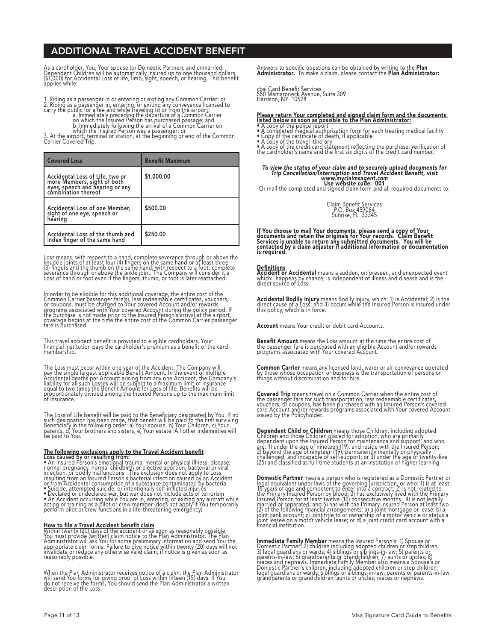## ADDITIONAL TRAVEL ACCIDENT BENEFIT

As a cardholder, You, Your spouse (or Domestic Partner), and unmarried<br>Dependent Children will be automatically insured up to one thousand dollars<br>(\$1,000) for Accidental Loss of life, limb, sight, speech, or hearing. This

1. Riding as a passenger in or entering or exiting any Common Carrier; or<br>2. Riding as a passenger in, entering, or exiting any conveyance licensed to<br>carry the public for a fee and while traveling to or from the airport:<br>

| <b>Covered Loss</b>                                                                                                      | <b>Benefit Maximum</b> |
|--------------------------------------------------------------------------------------------------------------------------|------------------------|
| Accidental Loss of Life, two or<br>more Members, sight of both<br>eyes, speech and hearing or any<br>combination thereof | \$1,000.00             |
| Accidental Loss of one Member,<br>sight of one eye, speech or<br>hearing                                                 | \$500.00               |
| Accidental Loss of the thumb and<br>index finger of the same hand                                                        | \$250.00               |

Loss means, with respect to a hand, complete severance through or above the<br>knuckle joints of at least four (4) fingers on the same hand or at least three<br>(3) fingers and the thumb on the same hand; with respect to a foot,

In order to be eligible for this additional coverage, the entire cost of the<br>Common Carrier passenger fare(s), less redeemable certificates, vouchers,<br>or coupons, must be charged to Your covered Account and/or rewards<br>prog

This travel accident benefit is provided to eligible cardholders. Your<br>financial institution pays the cardholder's premium as a benefit of the card<br>membership.

The Loss must occur within one year of the Accident. The Company will<br>pay the single largest applicable Benefit Amount. In the event of multiple<br>Accidental deaths per Account arising from any one Accident, the Company's<br>li

The Loss of Life benefit will be paid to the Beneficiary designated by You. If no<br>such designation has been made, that benefit will be paid to the first surviving<br>Beneficiary in the following order: a) Your spouse, b) Your

The following exclusions apply to the Travel Accident benefit<br>
Loss caused by or resulting from:<br>
Consider the summan performation of the properties of the present of the space of<br>
normal pregnancy, normal child<br>
infection

**How to file a Travel Accident benefit claim**<br>Within twenty (20) days of the accident or as soon as reasonably possible,<br>You must provide (written) claim notice to the Plan Administrator. The Plan<br>Administrator will ask Yo

When the Plan Administrator receives notice of a claim, the Plan Administrator<br>will send You forms for giving proof of Loss within fifteen (15) days. If You<br>do not receive the forms, You should send the Plan Administrator

Answers to specific questions can be obtained by writing to the **Plan**<br>**Administrator.** To make a claim, please contact the **Plan Administrator:** 

cbsi Card Benefit Services 550 Mamaroneck Avenue, Suite 309 Harrison, NY 10528

**Please return Your completed and signed claim form and the documents<br>Isted below as soon as possible to the Plan Administrator:**<br>• A copy of the police report<br>• Copy of the certificate of death, if applicable<br>• Copy of th

## To view the status of your claim and to securely upload documents for<br>Trip Cancellation/Interruption and Travel Accident Benefit, visit<br>Wew Website code: 001

Or mail the completed and signed claim form and all required documents to:



If You choose to mail Your documents, please send a copy of Your<br>documents and retain the originals for Your records. Claim Benefit<br>Services is unable to return any submitted documents. You will be<br>contacted by a claim a

**Definitions<br>Accident or Accidental** means a sudden, unforeseen, and unexpected event<br>which: happens by chance; is independent of illness and disease and is the<br>direct source of Loss.

**Accidental Bodily Injury** means Bodily Injury, which: 1) is Accidental; 2) is the<br>direct cause of a Loss; and 3) occurs while the Insured Person is insured under<br>this policy, which is in force.

Account means Your credit or debit card Accounts.

**Benefit Amount** means the Loss amount at the time the entire cost of<br>the passenger fare is purchased with an eligible Account and/or rewards<br>programs associated with Your covered Account.

**Common Carrier** means any licensed land, water or air conveyance operated<br>by those whose occupation or business is the transportation of persons or<br>things without discrimination and for hire.

**Covered Trip** means travel on a Common Carrier when the entire cost of<br>the passenger fare for such transportation, less redeemable certificates,<br>vouchers, or coupons, has been purchased with an Insured Person's covered<br>ca

**Dependent Child or Children** means those Children, including adopted<br>Children and those Children placed for adoption, who are primarily<br>dependent upon the Insured Person for maintenance and support, and who<br>are: 1) under

**Domestic Partner** means a person who is registered as a Domestic Partner or explequal equivalent under laws of the governing jurisdiction, or who: 1) is at least 18 years of age and competent to enter into a contract; 2)

**Immediate Family Member** means the Insured Person's: 1) Spouse or<br>Domestic Partner; 2) children including adopted children or stepchildren;<br>3) legal guardians or wards; 4) siblings or siblings-in-law; 5) parents or<br>parent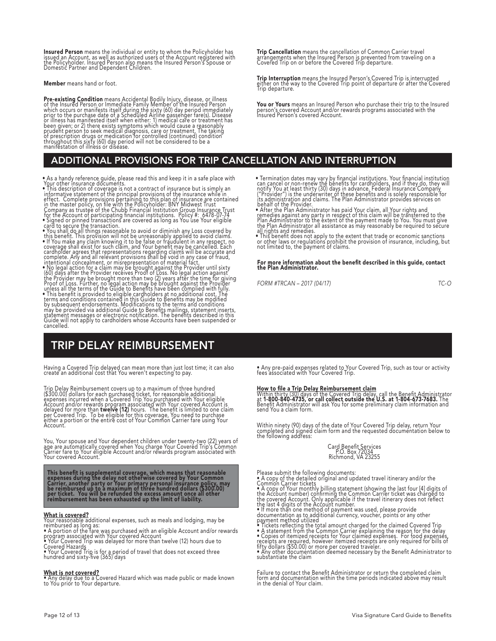**Insured Person** means the individual or entity to whom the Policyholder has<br>issued an Account, as well as authorized users of the Account registered with<br>the Policyholder. Insured Person also means the Insured Person's Sp

Member means hand or foot.

**Pre-existing Condition** means Accidental Bodily Injury, disease, or illness<br>of the Insured Person or Immediate Family Member of the Insured Person<br>which occurs or manifests itself during the sixty (60) day period immediat

## ADDITIONAL PROVISIONS FOR TRIP CANCELLATION AND INTERRUPTION

- 
- 

• As a handy reference guide, please read this and keep it in a safe place with<br>• Your other insurance documents.<br>• This description of coverage is not a contract of insurance but is simply an<br>informative statement of the

## TRIP DELAY REIMBURSEMENT

Having a Covered Trip delayed can mean more than just lost time; it can also create an additional cost that You weren't expecting to pay.

Trip Delay Reimbursement covers up to a maximum of three hundred<br>(\$300.00) dollars for each purchased ticket, for reasonable additional<br>expenses incurred when a Covered Trip You purchased with Your eligible<br>Account and/or Account.

You, Your spouse and Your dependent children under twenty-two (22) years of<br>age are automatically covered when You charge Your Covered Trip's Common<br>Carrier fare to Your eligible Account and/or rewards program associated w

This benefit is supplemental coverage, which means that reasonable<br>expenses during the delay not otherwise covered by Your Common<br>Carrier, another party or Your primary personal insurance policy, may<br>be reimbursed up to a

What is covered?<br>Your reasonable additional expenses, such as meals and lodging, may be<br>reimbursed as long as:<br>• A portion of the fare was purchased with an eligible Account and/or rewards<br>program associated with Your cov

Covered Hazards • Your Covered Trip is for a period of travel that does not exceed three hundred and sixty-five (365) days

What is *not* covered? • Any delay due to a Covered Hazard which was made public or made known to You prior to Your departure.

Trip Cancellation means the cancellation of Common Carrier travel<br>arrangements when the Insured Person is prevented from traveling on a<br>Covered Trip on or before the Covered Trip departure.

**Trip Interruption** means the Insured Person's Covered Trip is interrupted<br>either on the way to the Covered Trip point of departure or after the Covered<br>Trip departure.

**You or Yours** means an Insured Person who purchase their trip to the Insured<br>person's covered Account and/or rewards programs associated with the<br>Insured Person's covered Account.

• Termination dates may vary by financial institutions. Your financial institution can cancel or non-renew the benefits for cardolders, and if they do, they will notify You at least thirty (30) days in advance. Federal Ins

behalt of the Provider.<br>• After the Plan Administrator has paid Your claim, all Your rights and<br>• remedies against any party in respect of this claim will be transferred to the<br>• Plan Administrator to the extent of the pay

• This benefit does not apply to the extent that trade or economic sanctions or other laws or regulations prohibit the provision of insurance, including, but not limited to, the payment of claims.

## For more information about the benefit described in this guide, contact the Plan Administrator.

*FORM #TRCAN – 2017 (04/17) TC-O*

• Any pre-paid expenses related to Your Covered Trip, such as tour or activity fees associated with Your Covered Trip.

How to file a Trip Delay Reimbursement claim<br>Within thirty (30) days of the Covered Trip delay, call the Benefit Administrator<br>at 1-800-840-4735, or call collect outside the U.S. at 1-804-673-7683. The<br>Benefit Administrato

Within ninety (90) days of the date of Your Covered Trip delay, return Your completed and signed claim form and the requested documentation below to the following address:

## Card Benefit Services P.O. Box 72034 Richmond, VA 23255

Please submit the following documents:<br>
• A copy of the detailed original and updated travel itinerary and/or the<br>
• Common Carrier tickets<br>
• A copy of Your monthly billing statement (showing the last four [4] digits of<br>

• Tickets reflecting the total amount charged for the claimed Covered Trip<br>• A statement from the Common Carirer explaining the reason for the delay<br>• Copies of itemized receipts for Your claimed expenses. For food expense

Failure to contact the Benefit Administrator or return the completed claim form and documentation within the time periods indicated above may result in the denial of Your claim.